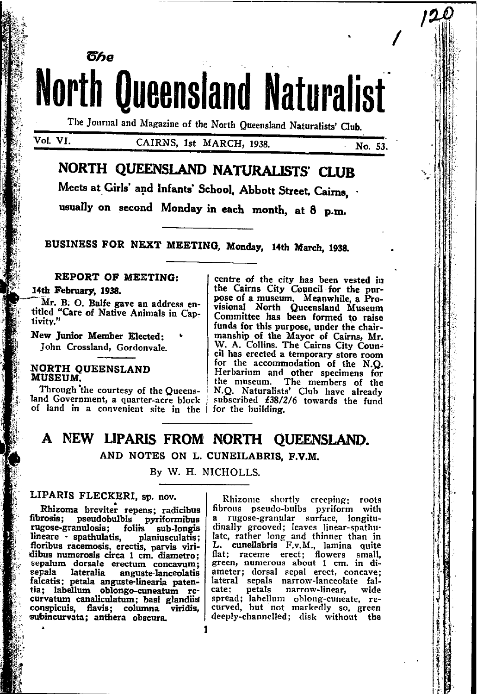**North Queensland Naturalist** The Journal and Magazine of the North Queensland Naturalists' Club.

### Vol. VI.

## CAIRNS, 1st MARCH, 1938.

No. 53.

# NORTH QUEENSLAND NATURALISTS' CLUR

Meets at Girls' and Infants' School. Abbott Street, Cairns.

usually on second Monday in each month, at 8 p.m.

BUSINESS FOR NEXT MEETING, Monday, 14th March, 1938.

### REPORT OF MEETING:

#### 14th February, 1938.

Mr. B. O. Balfe gave an address entitled "Care of Native Animals in Captivity."

New Junior Member Elected: John Crossland, Gordonvale.

ჽ伤ჿ

#### **NORTH OUEENSLAND** MUSEUM.

Through the courtesy of the Queensland Government, a quarter-acre block of land in a convenient site in the |

centre of the city has been vested in the Cairns City Council for the purpose of a museum. Meanwhile, a Provisional North Queensland Museum Committee has been formed to raise funds for this purpose, under the chairmanship of the Mayor of Cairns, Mr. W. A. Collins. The Cairns City Council has erected a temporary store room for the accommodation of the N.O. Herbarium and other specimens for the museum. The members of the N.Q. Naturalists' Club have already subscribed £38/2/6 towards the fund for the building.

# A NEW LIPARIS FROM NORTH QUEENSLAND. AND NOTES ON L. CUNEILABRIS, F.V.M.

### By W. H. NICHOLLS.

## LIPARIS FLECKERI, sp. nov.

Rhizoma breviter repens: radicibus fibrosis; pseudobulbis pyriformibus folirs rugose-granulosis: sub-longis lineare - spathulatis, planiusculatis; floribus racemosis, erectis, parvis viridibus numerosis circa 1 cm. diametro; sepalum dorsale erectum concavum; sepala lateralia anguste-lanceolatis falcatis; petala anguste-linearia patentia; labellum oblongo-cuneatum recurvatum canaliculatum; basi glandiis conspicuis, flavis; columna viridis, subincurvata; anthera obscura.

Rhizome shortly creeping: roots fibrous pseudo-bulbs pyriform with a rugose-granular surface, longitudinally grooved; leaves linear-spathulate, rather long and thinner than in<br>L. cuneilabris F.v.M., lamina quite<br>flat; raceme erect; flowers small, green, numerous about 1 cm. in diameter; dorsal sepal erect, concave; lateral sepals narrow-lanceolate falcate; petals narrow-linear, wide<br>spread; labellum oblong-cuneate, re-<br>curved, but not markedly so, green deeply-channelled; disk without the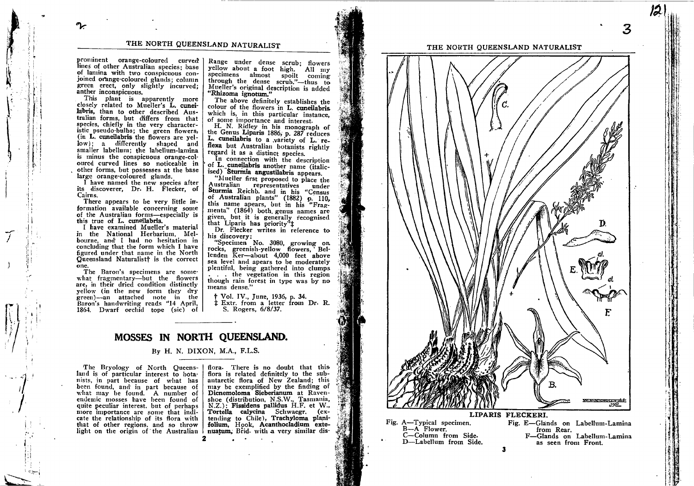THE NORTH QUEENSLAND NATURALIST

prominent orange-coloured curved lines of other Australian species: base of lamina with two conspicuous conjoined orange-coloured glands; column green erect, only slightly incurved; anther inconspicuous.

This plant is apparently more closely related to Mueller's L. cuneilabris, than to other described Australian forms, but differs from that species, chiefly in the very characteristic pseudo-bulbs; the green flowers, (in L. cuneilabris the flowers are yellow); a differently shaped and smaller labellum; the labellum-lamina is minus the conspicuous orange-coloured curved lines so noticeable in other forms, but possesses at the base large orange-coloured glands.

I have named the new species after its discoverer, Dr. H. Flecker, of Cairns.

There appears to be very little information available concerning some of the Australian forms-especially is this true of L. cuneilabris.

I have examined Mueller's material in the National Herbarium, Melbourne, and I had no hesitation in concluding that the form which I have figured under that name in the North Queensland Naturalist<sup>†</sup> is the correct one.

The Baron's specimens are somewhat fragmentary-but the flowers are, in their dried condition distinctly vellow (in the new form they dry green)—an attached note in the Baron's handwriting reads "14 April, 1864. Dwarf orchid tope (sic) of

Range under dense scrub: flowers yellow about a foot high. All my specimens almost spoilt coming through the dense scrub."—thus to<br>Mueller's original description is added "Rhizoma ignotum."

The above definitely establishes the colour of the flowers in L. cuneilabris. which is, in this particular instance. of some importance and interest.

H. N. Ridley in his monograph of<br>the Genus Liparis 1886, p. 287 reduces L. cuneilabris to a variety of L. reflexa but Australian botanists rightly regard it as a distinct species.

In connection with the description of L. cuneilabris another name (italicised) Sturmia angustilabris appears.

"Mueller first proposed to place the Australian representatives where the<br>Sturmia Reichb. and in his "Census<br>of Australian plants" (1882) p. 110, this name apears, but in his "Fragmenta" (1864) both genus names are given, but it is generally recognised that Liparis has priority<sup>7</sup>1

Dr. Flecker writes in reference to his discovery:

"Specimen No. 3080, growing on rocks, greenish-yellow flowers, Bellenden Ker-about 4,000 feet above sea level and apears to be moderately plentiful, being gathered into clumps . . . the vegetation in this region

though rain forest in type was by no means dense."

† Vol. IV., June, 1936, p. 34. ‡ Extr. from a letter from Dr. R. S. Rogers, 6/8/37.

## MOSSES IN NORTH QUEENSLAND.

### By H. N. DIXON, M.A., F.L.S.

The Bryology of North Queensland is of particular interest to botanists, in part because of what has been found, and in part because of what may be found. A number of endemic mosses have been found of quite peculiar interest, but of perhaps more importance are some that indicate the relationship of its flora with that of other regions, and so throw

flora. There is no doubt that this flora is related definitely to the subantarctic flora of New Zealand; this may be exemplified by the finding of Dicnemoloma Sieberianum at Ravenshoe (distribution, N.S.W., Tasmania, N.Z.); Fissidens pallidus H.F. et W., Tortella calycina Schwaegr. (ex-<br>tending to Chile), Trachyloma planifolium, Hook, Acanthocladium extelight on the origin of the Australian | nuatum, Brid. with a very similar dis-



LIPARIS FLECKERI.

Fig. E-Glands on Labellum-Lamina

as seen from Front.

F-Glands on Labellum-Lamina

from Rear.

Fig. A-Typical specimen.

C-Column from Side.

D-Labellum from Side.

B-A Flower.